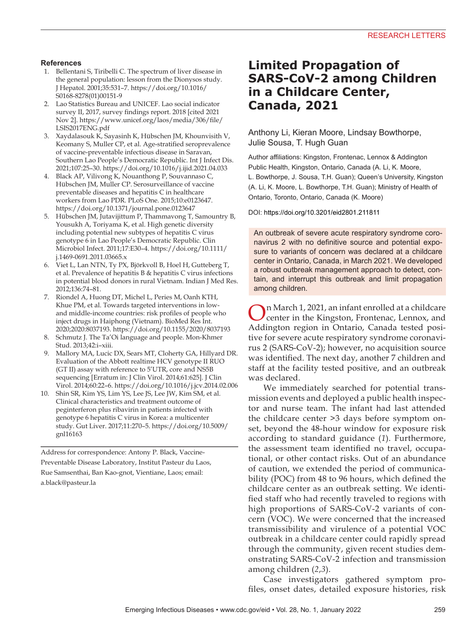#### **References**

- 1. Bellentani S, Tiribelli C. The spectrum of liver disease in the general population: lesson from the Dionysos study. J Hepatol. 2001;35:531–7. https://doi.org/10.1016/ S0168-8278(01)00151-9
- 2. Lao Statistics Bureau and UNICEF. Lao social indicator survey II, 2017, survey findings report. 2018 [cited 2021 Nov 2]. https://www.unicef.org/laos/media/306/file/ LSIS2017ENG.pdf
- 3. Xaydalasouk K, Sayasinh K, Hübschen JM, Khounvisith V, Keomany S, Muller CP, et al. Age-stratified seroprevalence of vaccine-preventable infectious disease in Saravan, Southern Lao People's Democratic Republic. Int J Infect Dis. 2021;107:25–30. https://doi.org/10.1016/j.ijid.2021.04.033
- 4. Black AP, Vilivong K, Nouanthong P, Souvannaso C, Hübschen JM, Muller CP. Serosurveillance of vaccine preventable diseases and hepatitis C in healthcare workers from Lao PDR. PLoS One. 2015;10:e0123647. https://doi.org/10.1371/journal.pone.0123647
- 5. Hübschen JM, Jutavijittum P, Thammavong T, Samountry B, Yousukh A, Toriyama K, et al. High genetic diversity including potential new subtypes of hepatitis C virus genotype 6 in Lao People's Democratic Republic. Clin Microbiol Infect. 2011;17:E30–4. https://doi.org/10.1111/ j.1469-0691.2011.03665.x
- 6. Viet L, Lan NTN, Ty PX, Björkvoll B, Hoel H, Gutteberg T, et al. Prevalence of hepatitis B & hepatitis C virus infections in potential blood donors in rural Vietnam. Indian J Med Res. 2012;136:74–81.
- 7. Riondel A, Huong DT, Michel L, Peries M, Oanh KTH, Khue PM, et al. Towards targeted interventions in lowand middle-income countries: risk profiles of people who inject drugs in Haiphong (Vietnam). BioMed Res Int. 2020;2020:8037193. https://doi.org/10.1155/2020/8037193
- 8. Schmutz J. The Ta'Oi language and people. Mon-Khmer Stud. 2013;42:i–xiii.
- 9. Mallory MA, Lucic DX, Sears MT, Cloherty GA, Hillyard DR. Evaluation of the Abbott realtime HCV genotype II RUO (GT II) assay with reference to 5'UTR, core and NS5B sequencing [Erratum in: J Clin Virol. 2014;61:625]. J Clin Virol. 2014;60:22–6. https://doi.org/10.1016/j.jcv.2014.02.006
- 10. Shin SR, Kim YS, Lim YS, Lee JS, Lee JW, Kim SM, et al. Clinical characteristics and treatment outcome of peginterferon plus ribavirin in patients infected with genotype 6 hepatitis C virus in Korea: a multicenter study. Gut Liver. 2017;11:270–5. https://doi.org/10.5009/ gnl16163

Address for correspondence: Antony P. Black, Vaccine-Preventable Disease Laboratory, Institut Pasteur du Laos, Rue Samsenthai, Ban Kao-gnot, Vientiane, Laos; email: a.black@pasteur.la

## **Limited Propagation of SARS-CoV-2 among Children in a Childcare Center, Canada, 2021**

Anthony Li, Kieran Moore, Lindsay Bowthorpe, Julie Sousa, T. Hugh Guan

Author affiliations: Kingston, Frontenac, Lennox & Addington Public Health, Kingston, Ontario, Canada (A. Li, K. Moore, L. Bowthorpe, J. Sousa, T.H. Guan); Queen's University, Kingston (A. Li, K. Moore, L. Bowthorpe, T.H. Guan); Ministry of Health of Ontario, Toronto, Ontario, Canada (K. Moore)

DOI: https://doi.org/10.3201/eid2801.211811

An outbreak of severe acute respiratory syndrome coronavirus 2 with no definitive source and potential exposure to variants of concern was declared at a childcare center in Ontario, Canada, in March 2021. We developed a robust outbreak management approach to detect, contain, and interrupt this outbreak and limit propagation among children.

On March 1, 2021, an infant enrolled at a childcare center in the Kingston, Frontenac, Lennox, and Addington region in Ontario, Canada tested positive for severe acute respiratory syndrome coronavirus 2 (SARS-CoV-2); however, no acquisition source was identified. The next day, another 7 children and staff at the facility tested positive, and an outbreak was declared.

We immediately searched for potential transmission events and deployed a public health inspector and nurse team. The infant had last attended the childcare center >3 days before symptom onset, beyond the 48-hour window for exposure risk according to standard guidance (*1*). Furthermore, the assessment team identified no travel, occupational, or other contact risks. Out of an abundance of caution, we extended the period of communicability (POC) from 48 to 96 hours, which defined the childcare center as an outbreak setting. We identified staff who had recently traveled to regions with high proportions of SARS-CoV-2 variants of concern (VOC). We were concerned that the increased transmissibility and virulence of a potential VOC outbreak in a childcare center could rapidly spread through the community, given recent studies demonstrating SARS-CoV-2 infection and transmission among children (*2*,*3*).

Case investigators gathered symptom profiles, onset dates, detailed exposure histories, risk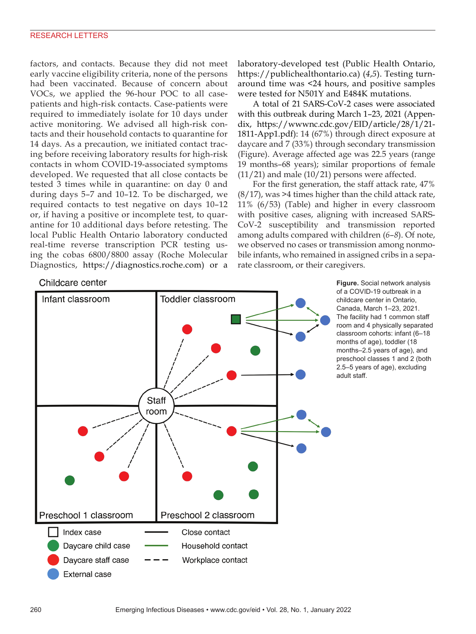factors, and contacts. Because they did not meet early vaccine eligibility criteria, none of the persons had been vaccinated. Because of concern about VOCs, we applied the 96-hour POC to all casepatients and high-risk contacts. Case-patients were required to immediately isolate for 10 days under active monitoring. We advised all high-risk contacts and their household contacts to quarantine for 14 days. As a precaution, we initiated contact tracing before receiving laboratory results for high-risk contacts in whom COVID-19-associated symptoms developed. We requested that all close contacts be tested 3 times while in quarantine: on day 0 and during days 5–7 and 10–12. To be discharged, we required contacts to test negative on days 10–12 or, if having a positive or incomplete test, to quarantine for 10 additional days before retesting. The local Public Health Ontario laboratory conducted real-time reverse transcription PCR testing using the cobas 6800/8800 assay (Roche Molecular Diagnostics, https://diagnostics.roche.com) or a

Childcare center



A total of 21 SARS-CoV-2 cases were associated with this outbreak during March 1–23, 2021 (Appendix, https://wwwnc.cdc.gov/EID/article/28/1/21- 1811-App1.pdf): 14 (67%) through direct exposure at daycare and 7 (33%) through secondary transmission (Figure). Average affected age was 22.5 years (range 19 months–68 years); similar proportions of female  $(11/21)$  and male  $(10/21)$  persons were affected.

For the first generation, the staff attack rate, 47%  $(8/17)$ , was >4 times higher than the child attack rate, 11% (6/53) (Table) and higher in every classroom with positive cases, aligning with increased SARS-CoV-2 susceptibility and transmission reported among adults compared with children (*6*–*8*). Of note, we observed no cases or transmission among nonmobile infants, who remained in assigned cribs in a separate classroom, or their caregivers.



**Figure.** Social network analysis of a COVID-19 outbreak in a childcare center in Ontario, Canada, March 1–23, 2021. The facility had 1 common staff room and 4 physically separated classroom cohorts: infant (6–18 months of age), toddler (18 months–2.5 years of age), and preschool classes 1 and 2 (both 2.5–5 years of age), excluding adult staff.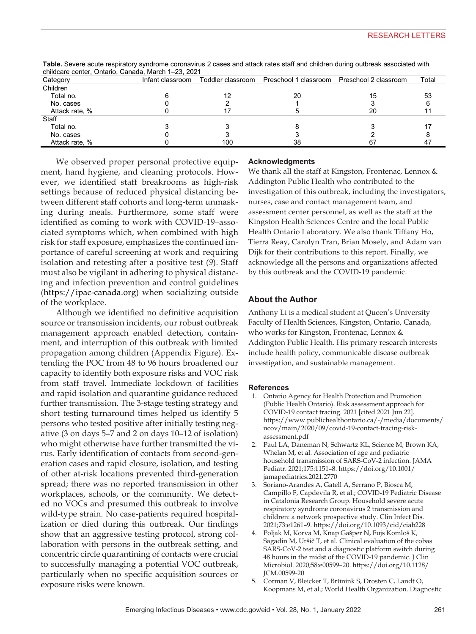| Category       | Infant classroom |     |    |    | Total |
|----------------|------------------|-----|----|----|-------|
| Children       |                  |     |    |    |       |
| Total no.      |                  | 12  | 20 | 15 | 53    |
| No. cases      |                  |     |    |    |       |
| Attack rate, % |                  |     |    | 20 |       |
| Staff          |                  |     |    |    |       |
| Total no.      |                  |     |    |    |       |
| No. cases      |                  |     |    |    |       |
| Attack rate, % |                  | 100 | 38 |    |       |

**Table.** Severe acute respiratory syndrome coronavirus 2 cases and attack rates staff and children during outbreak associated with childcare center, Ontario, Canada, March 1–23, 2021

We observed proper personal protective equipment, hand hygiene, and cleaning protocols. However, we identified staff breakrooms as high-risk settings because of reduced physical distancing between different staff cohorts and long-term unmasking during meals. Furthermore, some staff were identified as coming to work with COVID-19–associated symptoms which, when combined with high risk for staff exposure, emphasizes the continued importance of careful screening at work and requiring isolation and retesting after a positive test (*9*). Staff must also be vigilant in adhering to physical distancing and infection prevention and control guidelines (https://ipac-canada.org) when socializing outside of the workplace.

Although we identified no definitive acquisition source or transmission incidents, our robust outbreak management approach enabled detection, containment, and interruption of this outbreak with limited propagation among children (Appendix Figure). Extending the POC from 48 to 96 hours broadened our capacity to identify both exposure risks and VOC risk from staff travel. Immediate lockdown of facilities and rapid isolation and quarantine guidance reduced further transmission. The 3-stage testing strategy and short testing turnaround times helped us identify 5 persons who tested positive after initially testing negative (3 on days 5–7 and 2 on days 10–12 of isolation) who might otherwise have further transmitted the virus. Early identification of contacts from second-generation cases and rapid closure, isolation, and testing of other at-risk locations prevented third-generation spread; there was no reported transmission in other workplaces, schools, or the community. We detected no VOCs and presumed this outbreak to involve wild-type strain. No case-patients required hospitalization or died during this outbreak. Our findings show that an aggressive testing protocol, strong collaboration with persons in the outbreak setting, and concentric circle quarantining of contacts were crucial to successfully managing a potential VOC outbreak, particularly when no specific acquisition sources or exposure risks were known.

#### **Acknowledgments**

We thank all the staff at Kingston, Frontenac, Lennox & Addington Public Health who contributed to the investigation of this outbreak, including the investigators, nurses, case and contact management team, and assessment center personnel, as well as the staff at the Kingston Health Sciences Centre and the local Public Health Ontario Laboratory. We also thank Tiffany Ho, Tierra Reay, Carolyn Tran, Brian Mosely, and Adam van Dijk for their contributions to this report. Finally, we acknowledge all the persons and organizations affected by this outbreak and the COVID-19 pandemic.

#### **About the Author**

Anthony Li is a medical student at Queen's University Faculty of Health Sciences, Kingston, Ontario, Canada, who works for Kingston, Frontenac, Lennox & Addington Public Health. His primary research interests include health policy, communicable disease outbreak investigation, and sustainable management.

#### **References**

- 1. Ontario Agency for Health Protection and Promotion (Public Health Ontario). Risk assessment approach for COVID-19 contact tracing. 2021 [cited 2021 Jun 22]. https://www.publichealthontario.ca/-/media/documents/ ncov/main/2020/09/covid-19-contact-tracing-riskassessment.pdf
- 2. Paul LA, Daneman N, Schwartz KL, Science M, Brown KA, Whelan M, et al. Association of age and pediatric household transmission of SARS-CoV-2 infection. JAMA Pediatr. 2021;175:1151–8. https://doi.org/10.1001/ jamapediatrics.2021.2770
- 3. Soriano-Arandes A, Gatell A, Serrano P, Biosca M, Campillo F, Capdevila R, et al.; COVID-19 Pediatric Disease in Catalonia Research Group. Household severe acute respiratory syndrome coronavirus 2 transmission and children: a network prospective study. Clin Infect Dis. 2021;73:e1261–9. https://doi.org/10.1093/cid/ciab228
- 4. Poljak M, Korva M, Knap Gašper N, Fujs Komloš K, Sagadin M, Uršič T, et al. Clinical evaluation of the cobas SARS-CoV-2 test and a diagnostic platform switch during 48 hours in the midst of the COVID-19 pandemic. J Clin Microbiol. 2020;58:e00599–20. https://doi.org/10.1128/ JCM.00599-20
- 5. Corman V, Bleicker T, Brünink S, Drosten C, Landt O, Koopmans M, et al.; World Health Organization. Diagnostic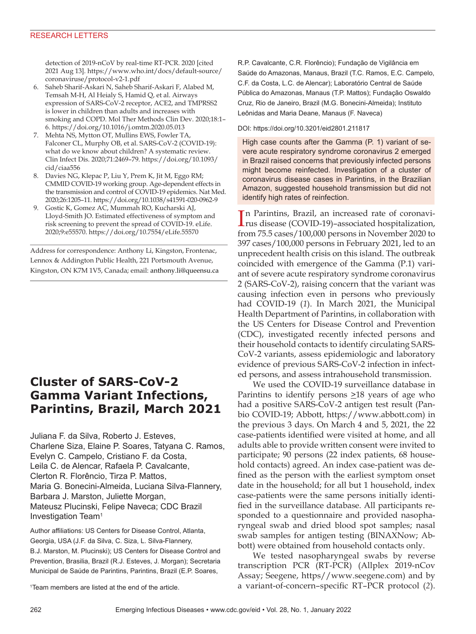#### RESEARCH LETTERS

detection of 2019-nCoV by real-time RT-PCR. 2020 [cited 2021 Aug 13]. https://www.who.int/docs/default-source/ coronaviruse/protocol-v2-1.pdf

- 6. Saheb Sharif-Askari N, Saheb Sharif-Askari F, Alabed M, Temsah M-H, Al Heialy S, Hamid Q, et al. Airways expression of SARS-CoV-2 receptor, ACE2, and TMPRSS2 is lower in children than adults and increases with smoking and COPD. Mol Ther Methods Clin Dev. 2020;18:1– 6. https://doi.org/10.1016/j.omtm.2020.05.013
- 7. Mehta NS, Mytton OT, Mullins EWS, Fowler TA, Falconer CL, Murphy OB, et al. SARS-CoV-2 (COVID-19): what do we know about children? A systematic review. Clin Infect Dis. 2020;71:2469–79. https://doi.org/10.1093/ cid/ciaa556
- 8. Davies NG, Klepac P, Liu Y, Prem K, Jit M, Eggo RM; CMMID COVID-19 working group. Age-dependent effects in the transmission and control of COVID-19 epidemics. Nat Med. 2020;26:1205–11. https://doi.org/10.1038/s41591-020-0962-9
- 9. Gostic K, Gomez AC, Mummah RO, Kucharski AJ, Lloyd-Smith JO. Estimated effectiveness of symptom and risk screening to prevent the spread of COVID-19. eLife. 2020;9:e55570. https://doi.org/10.7554/eLife.55570

Address for correspondence: Anthony Li, Kingston, Frontenac, Lennox & Addington Public Health, 221 Portsmouth Avenue, Kingston, ON K7M 1V5, Canada; email: anthony.li@queensu.ca

## **Cluster of SARS-CoV-2 Gamma Variant Infections, Parintins, Brazil, March 2021**

Juliana F. da Silva, Roberto J. Esteves, Charlene Siza, Elaine P. Soares, Tatyana C. Ramos, Evelyn C. Campelo, Cristiano F. da Costa, Leila C. de Alencar, Rafaela P. Cavalcante, Clerton R. Florêncio, Tirza P. Mattos, Maria G. Bonecini-Almeida, Luciana Silva-Flannery, Barbara J. Marston, Juliette Morgan, Mateusz Plucinski, Felipe Naveca; CDC Brazil Investigation Team1

Author affiliations: US Centers for Disease Control, Atlanta, Georgia, USA (J.F. da Silva, C. Siza, L. Silva-Flannery, B.J. Marston, M. Plucinski); US Centers for Disease Control and Prevention, Brasilia, Brazil (R.J. Esteves, J. Morgan); Secretaria Municipal de Saúde de Parintins, Parintins, Brazil (E.P. Soares,

1 Team members are listed at the end of the article.

R.P. Cavalcante, C.R. Florêncio); Fundação de Vigilância em Saúde do Amazonas, Manaus, Brazil (T.C. Ramos, E.C. Campelo, C.F. da Costa, L.C. de Alencar); Laboratório Central de Saúde Pública do Amazonas, Manaus (T.P. Mattos); Fundação Oswaldo Cruz, Rio de Janeiro, Brazil (M.G. Bonecini-Almeida); Instituto Leônidas and Maria Deane, Manaus (F. Naveca)

#### DOI: https://doi.org/10.3201/eid2801.211817

High case counts after the Gamma (P. 1) variant of severe acute respiratory syndrome coronavirus 2 emerged in Brazil raised concerns that previously infected persons might become reinfected. Investigation of a cluster of coronavirus disease cases in Parintins, in the Brazilian Amazon, suggested household transmission but did not identify high rates of reinfection.

In Parintins, Brazil, an increased rate of coronavi-<br>
rus disease (COVID-19)-associated hospitalization, rus disease (COVID-19)–associated hospitalization, from 75.5 cases/100,000 persons in November 2020 to 397 cases/100,000 persons in February 2021, led to an unprecedent health crisis on this island. The outbreak coincided with emergence of the Gamma (P.1) variant of severe acute respiratory syndrome coronavirus 2 (SARS-CoV-2), raising concern that the variant was causing infection even in persons who previously had COVID-19 (*1*). In March 2021, the Municipal Health Department of Parintins, in collaboration with the US Centers for Disease Control and Prevention (CDC), investigated recently infected persons and their household contacts to identify circulating SARS-CoV-2 variants, assess epidemiologic and laboratory evidence of previous SARS-CoV-2 infection in infected persons, and assess intrahousehold transmission.

We used the COVID-19 surveillance database in Parintins to identify persons  $\geq$ 18 years of age who had a positive SARS-CoV-2 antigen test result (Panbio COVID-19; Abbott, https://www.abbott.com) in the previous 3 days. On March 4 and 5, 2021, the 22 case-patients identified were visited at home, and all adults able to provide written consent were invited to participate; 90 persons (22 index patients, 68 household contacts) agreed. An index case-patient was defined as the person with the earliest symptom onset date in the household; for all but 1 household, index case-patients were the same persons initially identified in the surveillance database. All participants responded to a questionnaire and provided nasopharyngeal swab and dried blood spot samples; nasal swab samples for antigen testing (BINAXNow; Abbott) were obtained from household contacts only.

We tested nasopharyngeal swabs by reverse transcription PCR (RT-PCR) (Allplex 2019-nCov Assay; Seegene, https//www.seegene.com) and by a variant-of-concern–specific RT–PCR protocol (*2*).